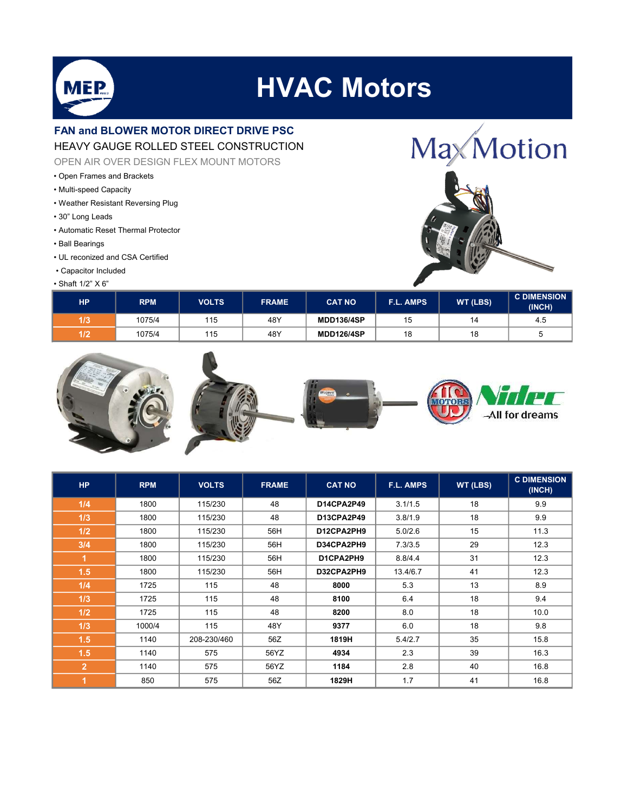

## **HVAC Motors**

## FAN and BLOWER MOTOR DIRECT DRIVE PSC HEAVY GAUGE ROLLED STEEL CONSTRUCTION

OPEN AIR OVER DESIGN FLEX MOUNT MOTORS

- Open Frames and Brackets
- Multi-speed Capacity
- Weather Resistant Reversing Plug
- 30" Long Leads
- Automatic Reset Thermal Protector
- Ball Bearings
- UL reconized and CSA Certified
- Capacitor Included

## • Shaft 1/2" X 6"





| НP                     | <b>RPM</b> | <b>VOLTS</b> | <b>FRAME</b> | <b>CAT NO</b>     | <b>F.L. AMPS</b> | <b>WT (LBS)</b> | <b>C DIMENSION</b><br>(INCH) |
|------------------------|------------|--------------|--------------|-------------------|------------------|-----------------|------------------------------|
| $\overline{112}$<br>IP | 1075/4     | 115          | 48Y          | <b>MDD136/4SP</b> | ن ا              | 14              | -4.5                         |
| רו א<br>″              | 1075/4     | 115          | 48Y          | <b>MDD126/4SP</b> | 18               | 4 C             |                              |



| <b>HP</b>            | <b>RPM</b> | <b>VOLTS</b> | <b>FRAME</b> | <b>CAT NO</b> | F.L. AMPS | WT (LBS) | <b>C DIMENSION</b><br>(INCH) |
|----------------------|------------|--------------|--------------|---------------|-----------|----------|------------------------------|
| 1/4                  | 1800       | 115/230      | 48           | D14CPA2P49    | 3.1/1.5   | 18       | 9.9                          |
| 1/3                  | 1800       | 115/230      | 48           | D13CPA2P49    | 3.8/1.9   | 18       | 9.9                          |
| 1/2                  | 1800       | 115/230      | 56H          | D12CPA2PH9    | 5.0/2.6   | 15       | 11.3                         |
| 3/4                  | 1800       | 115/230      | 56H          | D34CPA2PH9    | 7.3/3.5   | 29       | 12.3                         |
| $\overline{1}$       | 1800       | 115/230      | 56H          | D1CPA2PH9     | 8.8/4.4   | 31       | 12.3                         |
| 1.5                  | 1800       | 115/230      | 56H          | D32CPA2PH9    | 13.4/6.7  | 41       | 12.3                         |
| 1/4                  | 1725       | 115          | 48           | 8000          | 5.3       | 13       | 8.9                          |
| 1/3                  | 1725       | 115          | 48           | 8100          | 6.4       | 18       | 9.4                          |
| 1/2                  | 1725       | 115          | 48           | 8200          | 8.0       | 18       | 10.0                         |
| 1/3                  | 1000/4     | 115          | 48Y          | 9377          | 6.0       | 18       | 9.8                          |
| 1.5                  | 1140       | 208-230/460  | 56Z          | 1819H         | 5.4/2.7   | 35       | 15.8                         |
| 1.5                  | 1140       | 575          | 56YZ         | 4934          | 2.3       | 39       | 16.3                         |
| $\overline{2}$       | 1140       | 575          | 56YZ         | 1184          | 2.8       | 40       | 16.8                         |
| $\blacktriangleleft$ | 850        | 575          | 56Z          | 1829H         | 1.7       | 41       | 16.8                         |